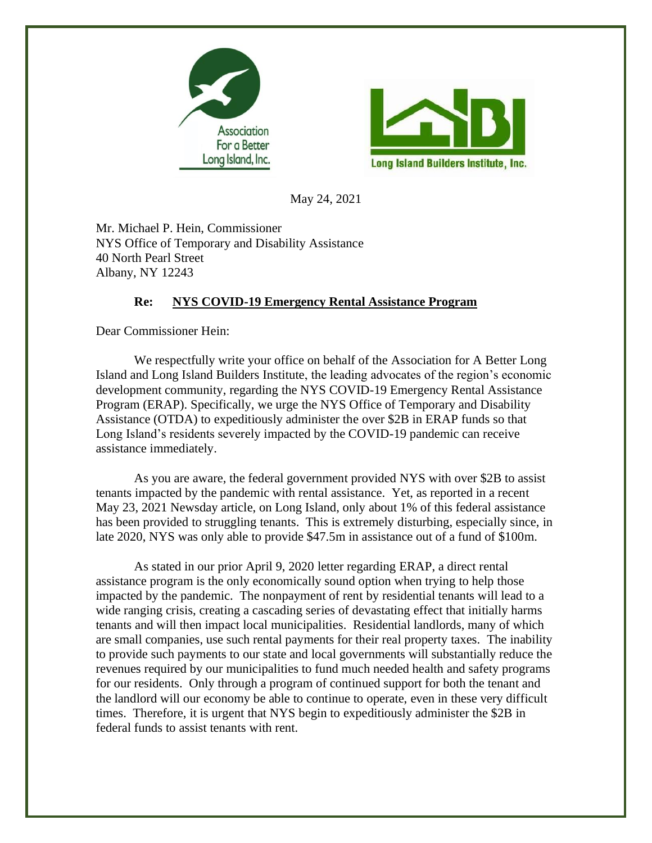



May 24, 2021

Mr. Michael P. Hein, Commissioner NYS Office of Temporary and Disability Assistance 40 North Pearl Street Albany, NY 12243

## **Re: NYS COVID-19 Emergency Rental Assistance Program**

Dear Commissioner Hein:

We respectfully write your office on behalf of the Association for A Better Long Island and Long Island Builders Institute, the leading advocates of the region's economic development community, regarding the NYS COVID-19 Emergency Rental Assistance Program (ERAP). Specifically, we urge the NYS Office of Temporary and Disability Assistance (OTDA) to expeditiously administer the over \$2B in ERAP funds so that Long Island's residents severely impacted by the COVID-19 pandemic can receive assistance immediately.

As you are aware, the federal government provided NYS with over \$2B to assist tenants impacted by the pandemic with rental assistance. Yet, as reported in a recent May 23, 2021 Newsday article, on Long Island, only about 1% of this federal assistance has been provided to struggling tenants. This is extremely disturbing, especially since, in late 2020, NYS was only able to provide \$47.5m in assistance out of a fund of \$100m.

As stated in our prior April 9, 2020 letter regarding ERAP, a direct rental assistance program is the only economically sound option when trying to help those impacted by the pandemic. The nonpayment of rent by residential tenants will lead to a wide ranging crisis, creating a cascading series of devastating effect that initially harms tenants and will then impact local municipalities. Residential landlords, many of which are small companies, use such rental payments for their real property taxes. The inability to provide such payments to our state and local governments will substantially reduce the revenues required by our municipalities to fund much needed health and safety programs for our residents. Only through a program of continued support for both the tenant and the landlord will our economy be able to continue to operate, even in these very difficult times. Therefore, it is urgent that NYS begin to expeditiously administer the \$2B in federal funds to assist tenants with rent.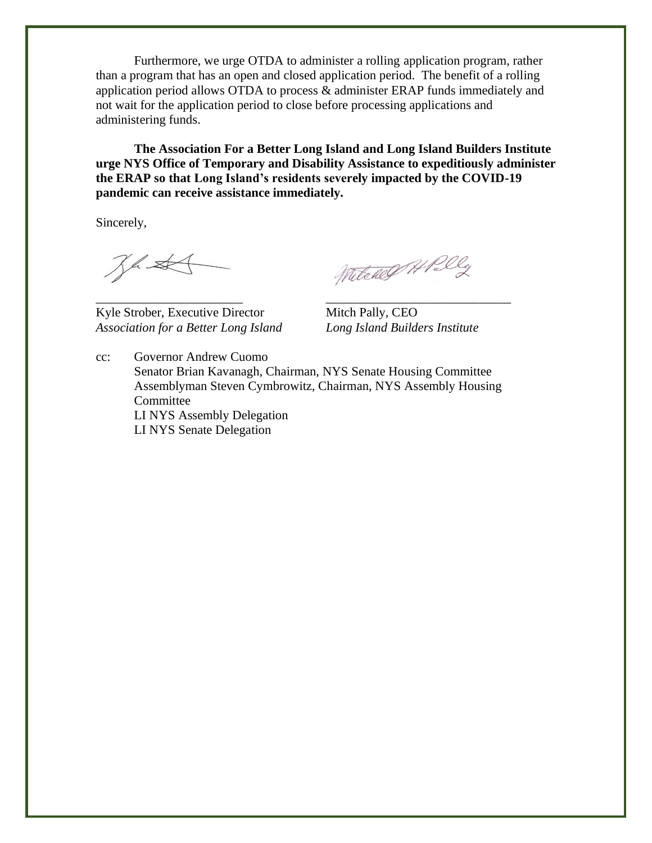Furthermore, we urge OTDA to administer a rolling application program, rather than a program that has an open and closed application period. The benefit of a rolling application period allows OTDA to process & administer ERAP funds immediately and not wait for the application period to close before processing applications and administering funds.

**The Association For a Better Long Island and Long Island Builders Institute urge NYS Office of Temporary and Disability Assistance to expeditiously administer the ERAP so that Long Island's residents severely impacted by the COVID-19 pandemic can receive assistance immediately.** 

Sincerely,

Jhst

Kyle Strober, Executive Director Mitch Pally, CEO *Association for a Better Long Island Long Island Builders Institute*

Witcher APal

cc: Governor Andrew Cuomo Senator Brian Kavanagh, Chairman, NYS Senate Housing Committee Assemblyman Steven Cymbrowitz, Chairman, NYS Assembly Housing Committee LI NYS Assembly Delegation LI NYS Senate Delegation

\_\_\_\_\_\_\_\_\_\_\_\_\_\_\_\_\_\_\_\_\_\_\_ \_\_\_\_\_\_\_\_\_\_\_\_\_\_\_\_\_\_\_\_\_\_\_\_\_\_\_\_\_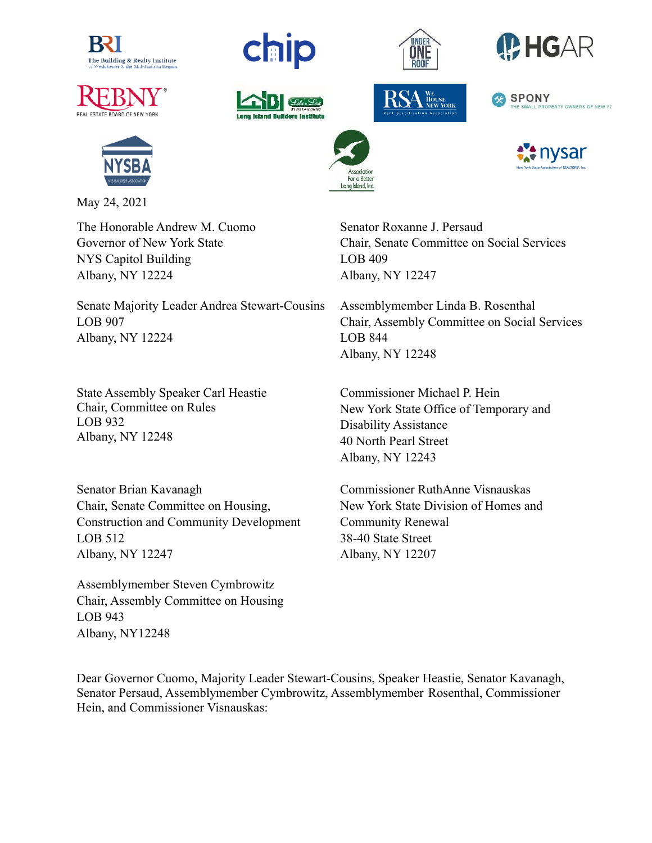





May 24, 2021

The Honorable Andrew M. Cuomo Governor of New York State NYS Capitol Building Albany, NY 12224

Senate Majority Leader Andrea Stewart-Cousins LOB 907 Albany, NY 12224

State Assembly Speaker Carl Heastie Chair, Committee on Rules LOB 932 Albany, NY 12248

Senator Brian Kavanagh Chair, Senate Committee on Housing, Construction and Community Development LOB 512 Albany, NY 12247

Assemblymember Steven Cymbrowitz Chair, Assembly Committee on Housing LOB 943 Albany, NY12248





For a Better Long Island, Inc.





Senator Roxanne J. Persaud Chair, Senate Committee on Social Services LOB 409 Albany, NY 12247

Assemblymember Linda B. Rosenthal Chair, Assembly Committee on Social Services LOB 844 Albany, NY 12248

Commissioner Michael P. Hein New York State Office of Temporary and Disability Assistance 40 North Pearl Street Albany, NY 12243

Commissioner RuthAnne Visnauskas New York State Division of Homes and Community Renewal 38-40 State Street Albany, NY 12207

Dear Governor Cuomo, Majority Leader Stewart-Cousins, Speaker Heastie, Senator Kavanagh, Senator Persaud, Assemblymember Cymbrowitz, Assemblymember Rosenthal, Commissioner Hein, and Commissioner Visnauskas: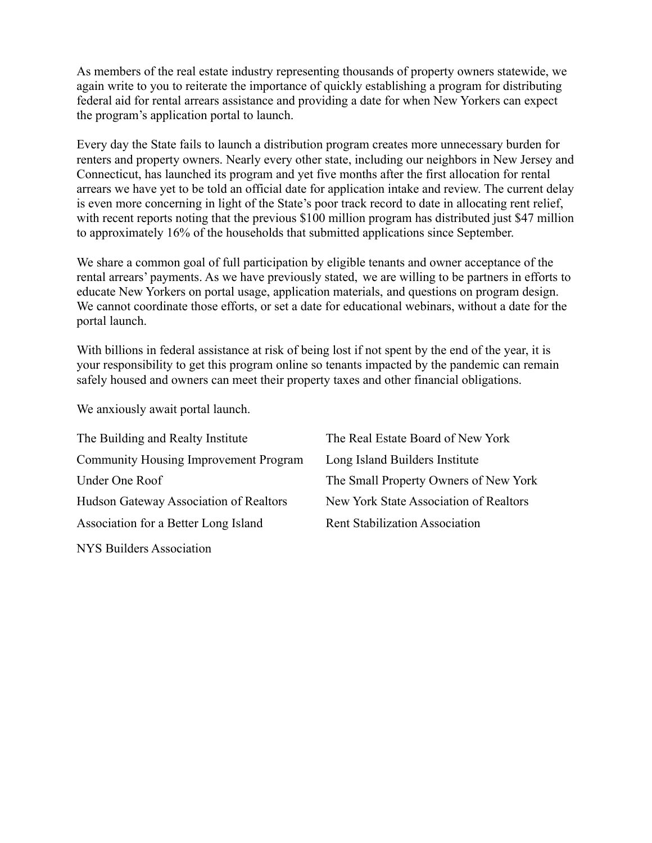As members of the real estate industry representing thousands of property owners statewide, we again write to you to reiterate the importance of quickly establishing a program for distributing federal aid for rental arrears assistance and providing a date for when New Yorkers can expect the program's application portal to launch.

Every day the State fails to launch a distribution program creates more unnecessary burden for renters and property owners. Nearly every other state, including our neighbors in New Jersey and Connecticut, has launched its program and yet five months after the first allocation for rental arrears we have yet to be told an official date for application intake and review. The current delay is even more concerning in light of the State's poor track record to date in allocating rent relief, with recent reports noting that the previous \$100 million program has distributed just \$47 million to approximately 16% of the households that submitted applications since September.

We share a common goal of full participation by eligible tenants and owner acceptance of the rental arrears' payments. As we have previously stated, we are willing to be partners in efforts to educate New Yorkers on portal usage, application materials, and questions on program design. We cannot coordinate those efforts, or set a date for educational webinars, without a date for the portal launch.

With billions in federal assistance at risk of being lost if not spent by the end of the year, it is your responsibility to get this program online so tenants impacted by the pandemic can remain safely housed and owners can meet their property taxes and other financial obligations.

We anxiously await portal launch.

| The Building and Realty Institute            | The Real Estate Board of New York      |
|----------------------------------------------|----------------------------------------|
| <b>Community Housing Improvement Program</b> | Long Island Builders Institute         |
| Under One Roof                               | The Small Property Owners of New York  |
| Hudson Gateway Association of Realtors       | New York State Association of Realtors |
| Association for a Better Long Island         | <b>Rent Stabilization Association</b>  |
| NYS Builders Association                     |                                        |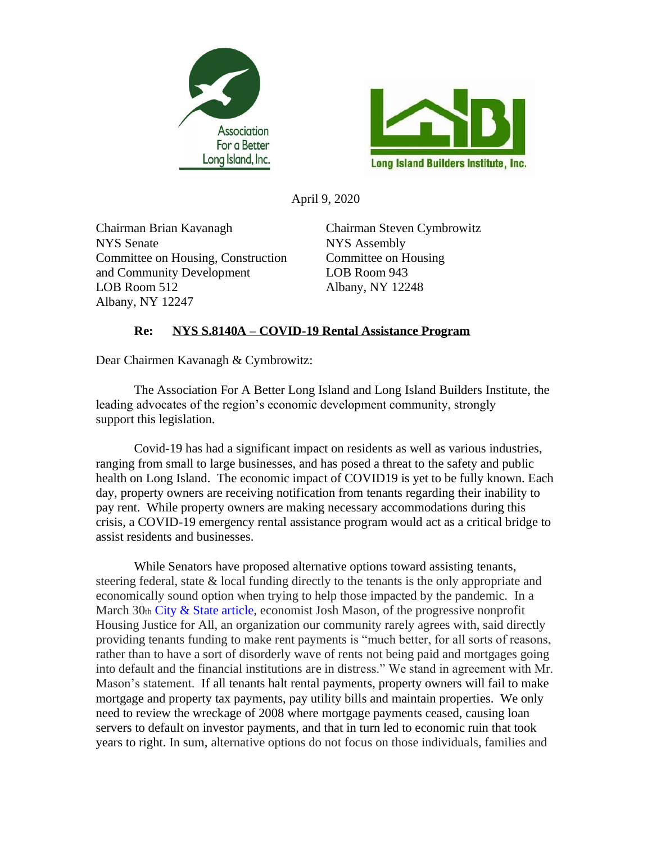



April 9, 2020

Chairman Brian Kavanagh Chairman Steven Cymbrowitz NYS Senate NYS Assembly Committee on Housing, Construction Committee on Housing and Community Development LOB Room 943 LOB Room 512 Albany, NY 12248 Albany, NY 12247

## **Re: NYS S.8140A – COVID-19 Rental Assistance Program**

Dear Chairmen Kavanagh & Cymbrowitz:

The Association For A Better Long Island and Long Island Builders Institute, the leading advocates of the region's economic development community, strongly support this legislation.

Covid-19 has had a significant impact on residents as well as various industries, ranging from small to large businesses, and has posed a threat to the safety and public health on Long Island. The economic impact of COVID19 is yet to be fully known. Each day, property owners are receiving notification from tenants regarding their inability to pay rent. While property owners are making necessary accommodations during this crisis, a COVID-19 emergency rental assistance program would act as a critical bridge to assist residents and businesses.

While Senators have proposed alternative options toward assisting tenants, steering federal, state & local funding directly to the tenants is the only appropriate and economically sound option when trying to help those impacted by the pandemic. In a March 30th [City & State article,](https://www.cityandstateny.com/articles/policy/housing/rent-freeze-possible-details-are-murky.html) economist Josh Mason, of the progressive nonprofit Housing Justice for All, an organization our community rarely agrees with, said directly providing tenants funding to make rent payments is "much better, for all sorts of reasons, rather than to have a sort of disorderly wave of rents not being paid and mortgages going into default and the financial institutions are in distress." We stand in agreement with Mr. Mason's statement. If all tenants halt rental payments, property owners will fail to make mortgage and property tax payments, pay utility bills and maintain properties. We only need to review the wreckage of 2008 where mortgage payments ceased, causing loan servers to default on investor payments, and that in turn led to economic ruin that took years to right. In sum, alternative options do not focus on those individuals, families and